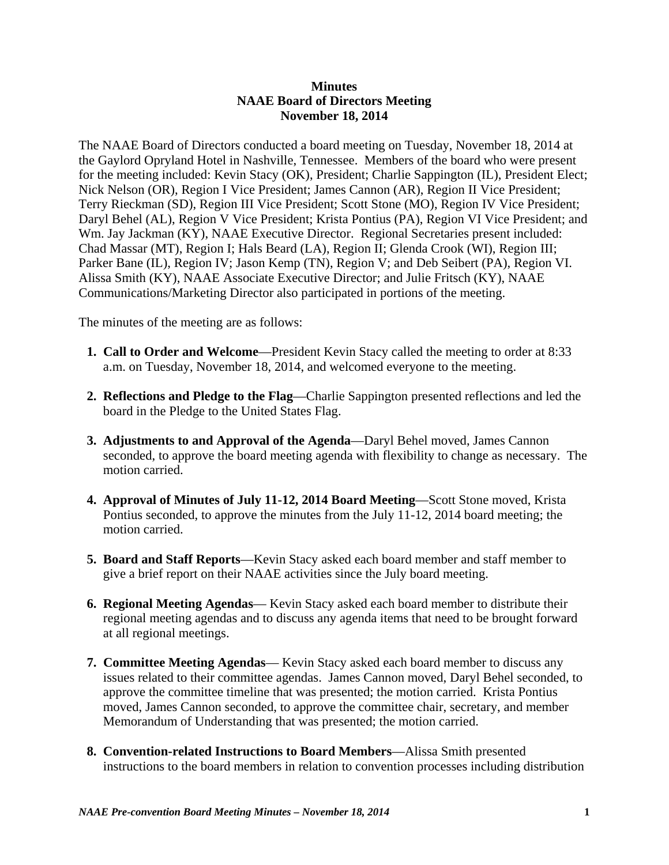## **Minutes NAAE Board of Directors Meeting November 18, 2014**

The NAAE Board of Directors conducted a board meeting on Tuesday, November 18, 2014 at the Gaylord Opryland Hotel in Nashville, Tennessee. Members of the board who were present for the meeting included: Kevin Stacy (OK), President; Charlie Sappington (IL), President Elect; Nick Nelson (OR), Region I Vice President; James Cannon (AR), Region II Vice President; Terry Rieckman (SD), Region III Vice President; Scott Stone (MO), Region IV Vice President; Daryl Behel (AL), Region V Vice President; Krista Pontius (PA), Region VI Vice President; and Wm. Jay Jackman (KY), NAAE Executive Director. Regional Secretaries present included: Chad Massar (MT), Region I; Hals Beard (LA), Region II; Glenda Crook (WI), Region III; Parker Bane (IL), Region IV; Jason Kemp (TN), Region V; and Deb Seibert (PA), Region VI. Alissa Smith (KY), NAAE Associate Executive Director; and Julie Fritsch (KY), NAAE Communications/Marketing Director also participated in portions of the meeting.

The minutes of the meeting are as follows:

- **1. Call to Order and Welcome**—President Kevin Stacy called the meeting to order at 8:33 a.m. on Tuesday, November 18, 2014, and welcomed everyone to the meeting.
- **2. Reflections and Pledge to the Flag**—Charlie Sappington presented reflections and led the board in the Pledge to the United States Flag.
- **3. Adjustments to and Approval of the Agenda**—Daryl Behel moved, James Cannon seconded, to approve the board meeting agenda with flexibility to change as necessary. The motion carried.
- **4. Approval of Minutes of July 11-12, 2014 Board Meeting**—Scott Stone moved, Krista Pontius seconded, to approve the minutes from the July 11-12, 2014 board meeting; the motion carried.
- **5. Board and Staff Reports**—Kevin Stacy asked each board member and staff member to give a brief report on their NAAE activities since the July board meeting.
- **6. Regional Meeting Agendas** Kevin Stacy asked each board member to distribute their regional meeting agendas and to discuss any agenda items that need to be brought forward at all regional meetings.
- **7. Committee Meeting Agendas** Kevin Stacy asked each board member to discuss any issues related to their committee agendas. James Cannon moved, Daryl Behel seconded, to approve the committee timeline that was presented; the motion carried. Krista Pontius moved, James Cannon seconded, to approve the committee chair, secretary, and member Memorandum of Understanding that was presented; the motion carried.
- **8. Convention-related Instructions to Board Members**—Alissa Smith presented instructions to the board members in relation to convention processes including distribution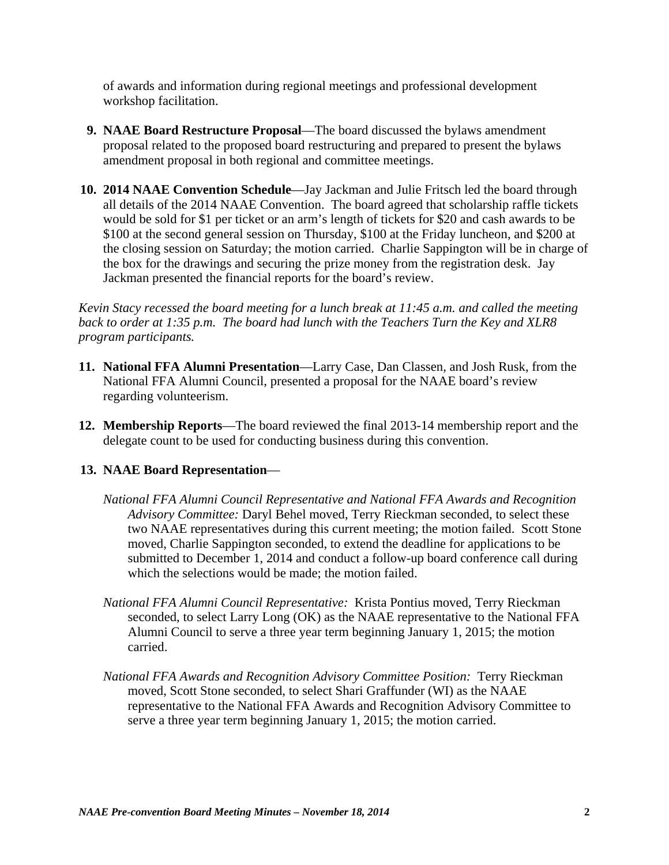of awards and information during regional meetings and professional development workshop facilitation.

- **9. NAAE Board Restructure Proposal**—The board discussed the bylaws amendment proposal related to the proposed board restructuring and prepared to present the bylaws amendment proposal in both regional and committee meetings.
- **10. 2014 NAAE Convention Schedule**—Jay Jackman and Julie Fritsch led the board through all details of the 2014 NAAE Convention. The board agreed that scholarship raffle tickets would be sold for \$1 per ticket or an arm's length of tickets for \$20 and cash awards to be \$100 at the second general session on Thursday, \$100 at the Friday luncheon, and \$200 at the closing session on Saturday; the motion carried. Charlie Sappington will be in charge of the box for the drawings and securing the prize money from the registration desk. Jay Jackman presented the financial reports for the board's review.

*Kevin Stacy recessed the board meeting for a lunch break at 11:45 a.m. and called the meeting back to order at 1:35 p.m. The board had lunch with the Teachers Turn the Key and XLR8 program participants.*

- **11. National FFA Alumni Presentation**—Larry Case, Dan Classen, and Josh Rusk, from the National FFA Alumni Council, presented a proposal for the NAAE board's review regarding volunteerism.
- **12. Membership Reports**—The board reviewed the final 2013-14 membership report and the delegate count to be used for conducting business during this convention.

## **13. NAAE Board Representation**—

- *National FFA Alumni Council Representative and National FFA Awards and Recognition Advisory Committee:* Daryl Behel moved, Terry Rieckman seconded, to select these two NAAE representatives during this current meeting; the motion failed. Scott Stone moved, Charlie Sappington seconded, to extend the deadline for applications to be submitted to December 1, 2014 and conduct a follow-up board conference call during which the selections would be made; the motion failed.
- *National FFA Alumni Council Representative:* Krista Pontius moved, Terry Rieckman seconded, to select Larry Long (OK) as the NAAE representative to the National FFA Alumni Council to serve a three year term beginning January 1, 2015; the motion carried.
- *National FFA Awards and Recognition Advisory Committee Position:* Terry Rieckman moved, Scott Stone seconded, to select Shari Graffunder (WI) as the NAAE representative to the National FFA Awards and Recognition Advisory Committee to serve a three year term beginning January 1, 2015; the motion carried.